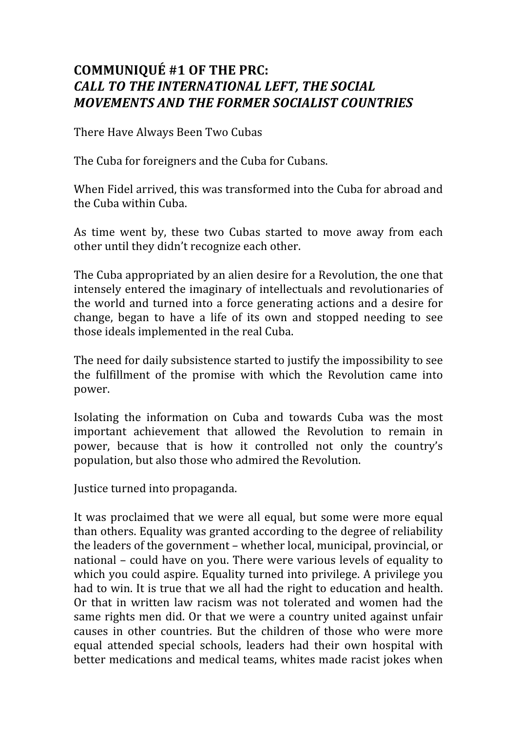## **COMMUNIQUÉ #1 OF THE PRC:**  *CALL TO THE INTERNATIONAL LEFT, THE SOCIAL MOVEMENTS AND THE FORMER SOCIALIST COUNTRIES*

There Have Always Been Two Cubas

The Cuba for foreigners and the Cuba for Cubans.

When Fidel arrived, this was transformed into the Cuba for abroad and the Cuba within Cuba.

As time went by, these two Cubas started to move away from each other until they didn't recognize each other.

The Cuba appropriated by an alien desire for a Revolution, the one that intensely entered the imaginary of intellectuals and revolutionaries of the world and turned into a force generating actions and a desire for change, began to have a life of its own and stopped needing to see those ideals implemented in the real Cuba.

The need for daily subsistence started to justify the impossibility to see the fulfillment of the promise with which the Revolution came into power.

Isolating the information on Cuba and towards Cuba was the most important achievement that allowed the Revolution to remain in power, because that is how it controlled not only the country's population, but also those who admired the Revolution.

Justice turned into propaganda.

It was proclaimed that we were all equal, but some were more equal than others. Equality was granted according to the degree of reliability the leaders of the government – whether local, municipal, provincial, or national – could have on you. There were various levels of equality to which you could aspire. Equality turned into privilege. A privilege you had to win. It is true that we all had the right to education and health. Or that in written law racism was not tolerated and women had the same rights men did. Or that we were a country united against unfair causes in other countries. But the children of those who were more equal attended special schools, leaders had their own hospital with better medications and medical teams, whites made racist jokes when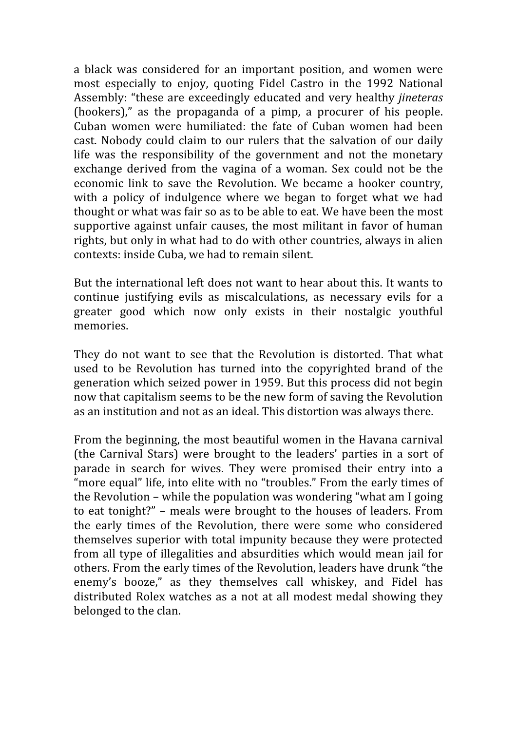a black was considered for an important position, and women were most especially to enjoy, quoting Fidel Castro in the 1992 National Assembly: "these are exceedingly educated and very healthy *jineteras* (hookers)," as the propaganda of a pimp, a procurer of his people. Cuban women were humiliated: the fate of Cuban women had been cast. Nobody could claim to our rulers that the salvation of our daily life was the responsibility of the government and not the monetary exchange derived from the vagina of a woman. Sex could not be the economic link to save the Revolution. We became a hooker country, with a policy of indulgence where we began to forget what we had thought or what was fair so as to be able to eat. We have been the most supportive against unfair causes, the most militant in favor of human rights, but only in what had to do with other countries, always in alien contexts: inside Cuba, we had to remain silent.

But the international left does not want to hear about this. It wants to continue justifying evils as miscalculations, as necessary evils for a greater good which now only exists in their nostalgic youthful memories.

They do not want to see that the Revolution is distorted. That what used to be Revolution has turned into the copyrighted brand of the generation which seized power in 1959. But this process did not begin now that capitalism seems to be the new form of saving the Revolution as an institution and not as an ideal. This distortion was always there.

From the beginning, the most beautiful women in the Havana carnival (the Carnival Stars) were brought to the leaders' parties in a sort of parade in search for wives. They were promised their entry into a "more equal" life, into elite with no "troubles." From the early times of the Revolution – while the population was wondering "what am I going to eat tonight?" – meals were brought to the houses of leaders. From the early times of the Revolution, there were some who considered themselves superior with total impunity because they were protected from all type of illegalities and absurdities which would mean jail for others. From the early times of the Revolution, leaders have drunk "the enemy's booze," as they themselves call whiskey, and Fidel has distributed Rolex watches as a not at all modest medal showing they belonged to the clan.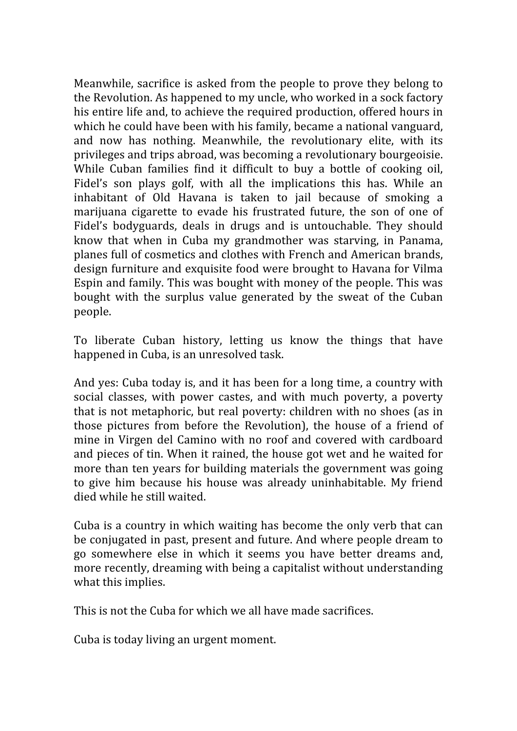Meanwhile, sacrifice is asked from the people to prove they belong to the Revolution. As happened to my uncle, who worked in a sock factory his entire life and, to achieve the required production, offered hours in which he could have been with his family, became a national vanguard, and now has nothing. Meanwhile, the revolutionary elite, with its privileges and trips abroad, was becoming a revolutionary bourgeoisie. While Cuban families find it difficult to buy a bottle of cooking oil, Fidel's son plays golf, with all the implications this has. While an inhabitant of Old Havana is taken to jail because of smoking a marijuana cigarette to evade his frustrated future, the son of one of Fidel's bodyguards, deals in drugs and is untouchable. They should know that when in Cuba my grandmother was starving, in Panama, planes full of cosmetics and clothes with French and American brands, design furniture and exquisite food were brought to Havana for Vilma Espin and family. This was bought with money of the people. This was bought with the surplus value generated by the sweat of the Cuban people.

To liberate Cuban history, letting us know the things that have happened in Cuba, is an unresolved task.

And yes: Cuba today is, and it has been for a long time, a country with social classes, with power castes, and with much poverty, a poverty that is not metaphoric, but real poverty: children with no shoes (as in those pictures from before the Revolution), the house of a friend of mine in Virgen del Camino with no roof and covered with cardboard and pieces of tin. When it rained, the house got wet and he waited for more than ten years for building materials the government was going to give him because his house was already uninhabitable. My friend died while he still waited.

Cuba is a country in which waiting has become the only verb that can be conjugated in past, present and future. And where people dream to go somewhere else in which it seems you have better dreams and, more recently, dreaming with being a capitalist without understanding what this implies.

This is not the Cuba for which we all have made sacrifices.

Cuba is today living an urgent moment.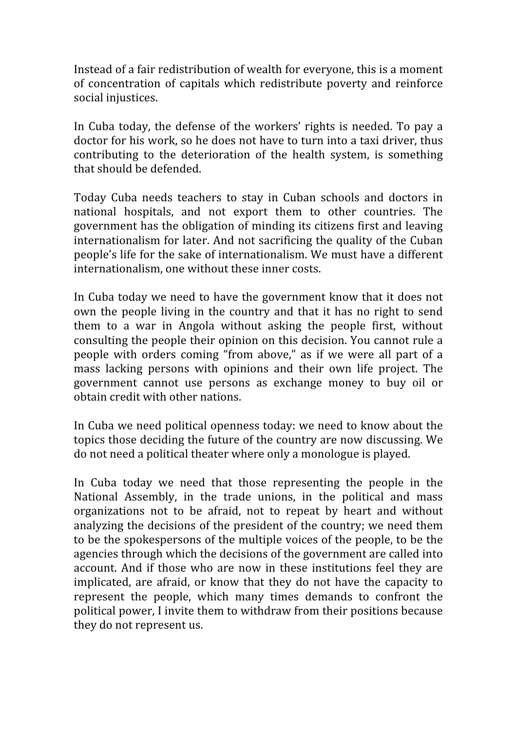Instead of a fair redistribution of wealth for everyone, this is a moment of concentration of capitals which redistribute poverty and reinforce social injustices.

In Cuba today, the defense of the workers' rights is needed. To pay a doctor for his work, so he does not have to turn into a taxi driver, thus contributing to the deterioration of the health system, is something that should be defended.

Today Cuba needs teachers to stay in Cuban schools and doctors in national hospitals, and not export them to other countries. The government has the obligation of minding its citizens first and leaving internationalism for later. And not sacrificing the quality of the Cuban people's life for the sake of internationalism. We must have a different internationalism, one without these inner costs.

In Cuba today we need to have the government know that it does not own the people living in the country and that it has no right to send them to a war in Angola without asking the people first, without consulting the people their opinion on this decision. You cannot rule a people with orders coming "from above," as if we were all part of a mass lacking persons with opinions and their own life project. The government cannot use persons as exchange money to buy oil or obtain credit with other nations.

In Cuba we need political openness today: we need to know about the topics those deciding the future of the country are now discussing. We do not need a political theater where only a monologue is played.

In Cuba today we need that those representing the people in the National Assembly, in the trade unions, in the political and mass organizations not to be afraid, not to repeat by heart and without analyzing the decisions of the president of the country; we need them to be the spokespersons of the multiple voices of the people, to be the agencies through which the decisions of the government are called into account. And if those who are now in these institutions feel they are implicated, are afraid, or know that they do not have the capacity to represent the people, which many times demands to confront the political power, I invite them to withdraw from their positions because they do not represent us.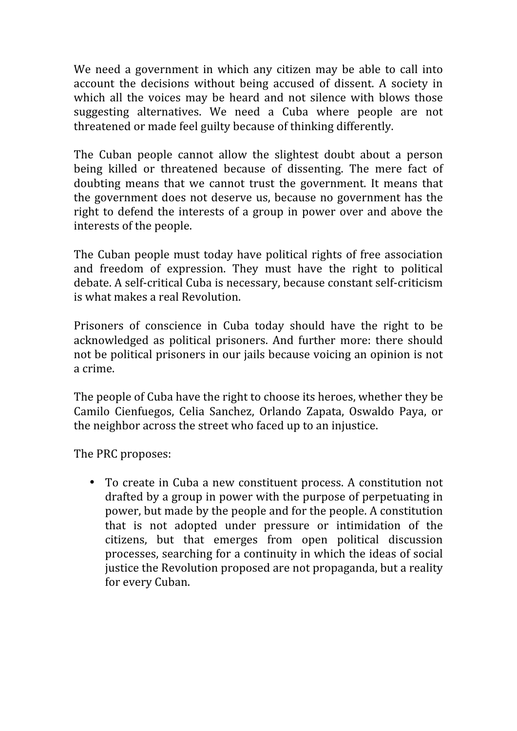We need a government in which any citizen may be able to call into account the decisions without being accused of dissent. A society in which all the voices may be heard and not silence with blows those suggesting alternatives. We need a Cuba where people are not threatened or made feel guilty because of thinking differently.

The Cuban people cannot allow the slightest doubt about a person being killed or threatened because of dissenting. The mere fact of doubting means that we cannot trust the government. It means that the government does not deserve us, because no government has the right to defend the interests of a group in power over and above the interests of the people.

The Cuban people must today have political rights of free association and freedom of expression. They must have the right to political debate. A self‐critical Cuba is necessary, because constant self‐criticism is what makes a real Revolution.

Prisoners of conscience in Cuba today should have the right to be acknowledged as political prisoners. And further more: there should not be political prisoners in our jails because voicing an opinion is not a crime.

The people of Cuba have the right to choose its heroes, whether they be Camilo Cienfuegos, Celia Sanchez, Orlando Zapata, Oswaldo Paya, or the neighbor across the street who faced up to an injustice.

The PRC proposes:

• To create in Cuba a new constituent process. A constitution not drafted by a group in power with the purpose of perpetuating in power, but made by the people and for the people. A constitution that is not adopted under pressure or intimidation of the citizens, but that emerges from open political discussion processes, searching for a continuity in which the ideas of social justice the Revolution proposed are not propaganda, but a reality for every Cuban.